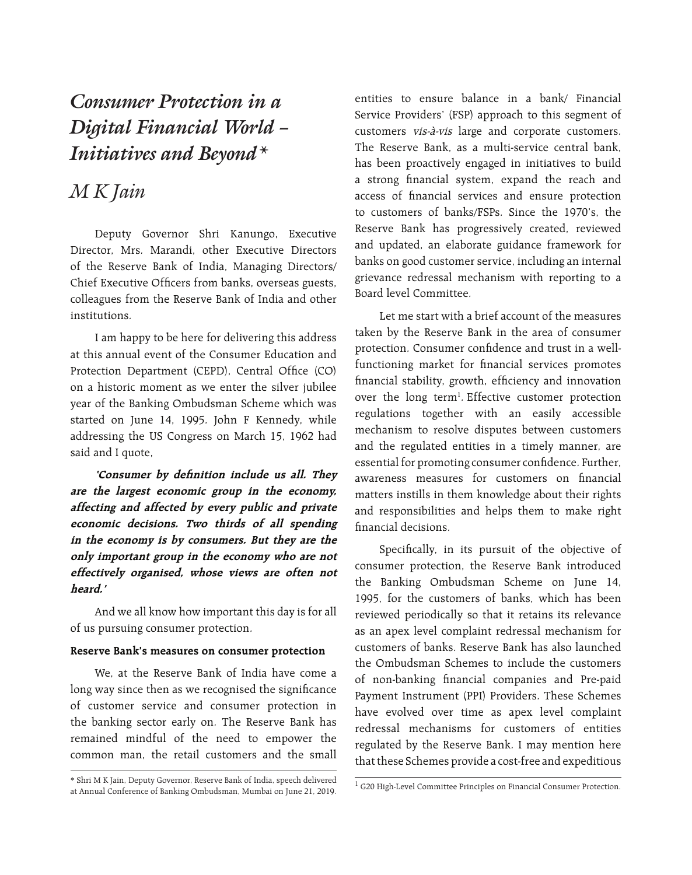# *Consumer Protection in a Digital Financial World – Initiatives and beyond\**

# *M K Jain*

Deputy Governor Shri Kanungo, Executive Director, Mrs. Marandi, other Executive Directors of the Reserve Bank of India, Managing Directors/ Chief Executive Officers from banks, overseas guests, colleagues from the Reserve Bank of India and other institutions.

I am happy to be here for delivering this address at this annual event of the Consumer Education and Protection Department (CEPD), Central Office (CO) on a historic moment as we enter the silver jubilee year of the Banking Ombudsman Scheme which was started on June 14, 1995. John F Kennedy, while addressing the US Congress on March 15, 1962 had said and I quote,

**'Consumer by definition include us all. They are the largest economic group in the economy, affecting and affected by every public and private economic decisions. Two thirds of all spending in the economy is by consumers. But they are the only important group in the economy who are not effectively organised, whose views are often not heard.'**

And we all know how important this day is for all of us pursuing consumer protection.

#### **Reserve Bank's measures on consumer protection**

We, at the Reserve Bank of India have come a long way since then as we recognised the significance of customer service and consumer protection in the banking sector early on. The Reserve Bank has remained mindful of the need to empower the common man, the retail customers and the small

entities to ensure balance in a bank/ Financial Service Providers' (FSP) approach to this segment of customers vis-à-vis large and corporate customers. The Reserve Bank, as a multi-service central bank, has been proactively engaged in initiatives to build a strong financial system, expand the reach and access of financial services and ensure protection to customers of banks/FSPs. Since the 1970's, the Reserve Bank has progressively created, reviewed and updated, an elaborate guidance framework for banks on good customer service, including an internal grievance redressal mechanism with reporting to a Board level Committee.

Let me start with a brief account of the measures taken by the Reserve Bank in the area of consumer protection. Consumer confidence and trust in a wellfunctioning market for financial services promotes financial stability, growth, efficiency and innovation over the long term<sup>1</sup>. Effective customer protection regulations together with an easily accessible mechanism to resolve disputes between customers and the regulated entities in a timely manner, are essential for promoting consumer confidence. Further, awareness measures for customers on financial matters instills in them knowledge about their rights and responsibilities and helps them to make right financial decisions.

Specifically, in its pursuit of the objective of consumer protection, the Reserve Bank introduced the Banking Ombudsman Scheme on June 14, 1995, for the customers of banks, which has been reviewed periodically so that it retains its relevance as an apex level complaint redressal mechanism for customers of banks. Reserve Bank has also launched the Ombudsman Schemes to include the customers of non-banking financial companies and Pre-paid Payment Instrument (PPI) Providers. These Schemes have evolved over time as apex level complaint redressal mechanisms for customers of entities regulated by the Reserve Bank. I may mention here that these Schemes provide a cost-free and expeditious

<sup>\*</sup> Shri M K Jain, Deputy Governor, Reserve Bank of India, speech delivered at Annual Conference of Banking Ombudsman, Mumbai on June 21, 2019.

<sup>1</sup> G20 High-Level Committee Principles on Financial Consumer Protection.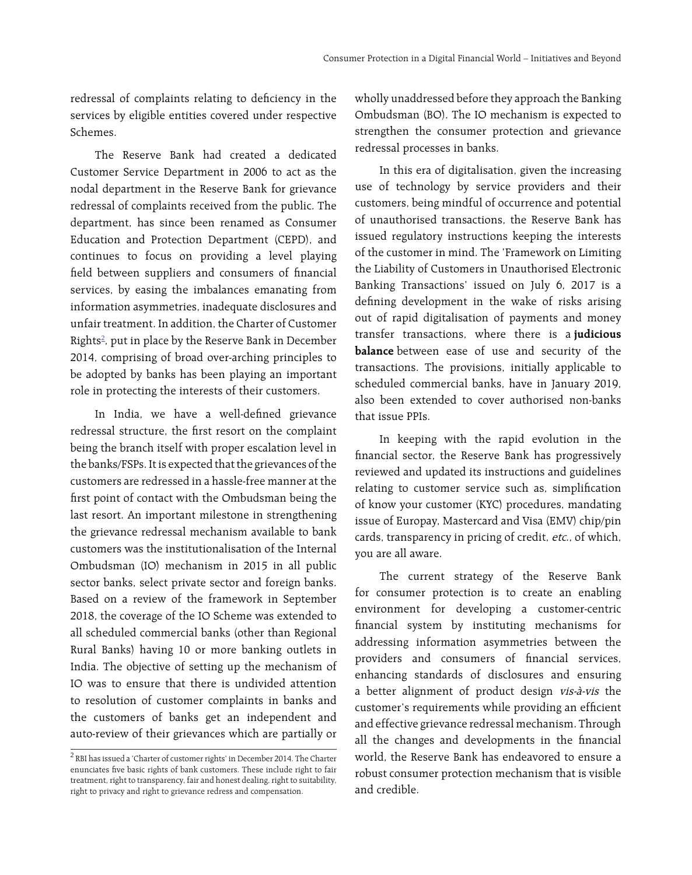redressal of complaints relating to deficiency in the services by eligible entities covered under respective Schemes.

The Reserve Bank had created a dedicated Customer Service Department in 2006 to act as the nodal department in the Reserve Bank for grievance redressal of complaints received from the public. The department, has since been renamed as Consumer Education and Protection Department (CEPD), and continues to focus on providing a level playing field between suppliers and consumers of financial services, by easing the imbalances emanating from information asymmetries, inadequate disclosures and unfair treatment. In addition, the Charter of Customer Rights<sup>2</sup>, put in place by the Reserve Bank in December 2014, comprising of broad over-arching principles to be adopted by banks has been playing an important role in protecting the interests of their customers.

In India, we have a well-defined grievance redressal structure, the first resort on the complaint being the branch itself with proper escalation level in the banks/FSPs. It is expected that the grievances of the customers are redressed in a hassle-free manner at the first point of contact with the Ombudsman being the last resort. An important milestone in strengthening the grievance redressal mechanism available to bank customers was the institutionalisation of the Internal Ombudsman (IO) mechanism in 2015 in all public sector banks, select private sector and foreign banks. Based on a review of the framework in September 2018, the coverage of the IO Scheme was extended to all scheduled commercial banks (other than Regional Rural Banks) having 10 or more banking outlets in India. The objective of setting up the mechanism of IO was to ensure that there is undivided attention to resolution of customer complaints in banks and the customers of banks get an independent and auto-review of their grievances which are partially or wholly unaddressed before they approach the Banking Ombudsman (BO). The IO mechanism is expected to strengthen the consumer protection and grievance redressal processes in banks.

In this era of digitalisation, given the increasing use of technology by service providers and their customers, being mindful of occurrence and potential of unauthorised transactions, the Reserve Bank has issued regulatory instructions keeping the interests of the customer in mind. The 'Framework on Limiting the Liability of Customers in Unauthorised Electronic Banking Transactions' issued on July 6, 2017 is a defining development in the wake of risks arising out of rapid digitalisation of payments and money transfer transactions, where there is a **judicious balance** between ease of use and security of the transactions. The provisions, initially applicable to scheduled commercial banks, have in January 2019, also been extended to cover authorised non-banks that issue PPIs.

In keeping with the rapid evolution in the financial sector, the Reserve Bank has progressively reviewed and updated its instructions and guidelines relating to customer service such as, simplification of know your customer (KYC) procedures, mandating issue of Europay, Mastercard and Visa (EMV) chip/pin cards, transparency in pricing of credit, etc., of which, you are all aware.

The current strategy of the Reserve Bank for consumer protection is to create an enabling environment for developing a customer-centric financial system by instituting mechanisms for addressing information asymmetries between the providers and consumers of financial services, enhancing standards of disclosures and ensuring a better alignment of product design vis-à-vis the customer's requirements while providing an efficient and effective grievance redressal mechanism. Through all the changes and developments in the financial world, the Reserve Bank has endeavored to ensure a robust consumer protection mechanism that is visible and credible.

<sup>2</sup> RBI has issued a 'Charter of customer rights' in December 2014. The Charter enunciates five basic rights of bank customers. These include right to fair treatment, right to transparency, fair and honest dealing, right to suitability, right to privacy and right to grievance redress and compensation.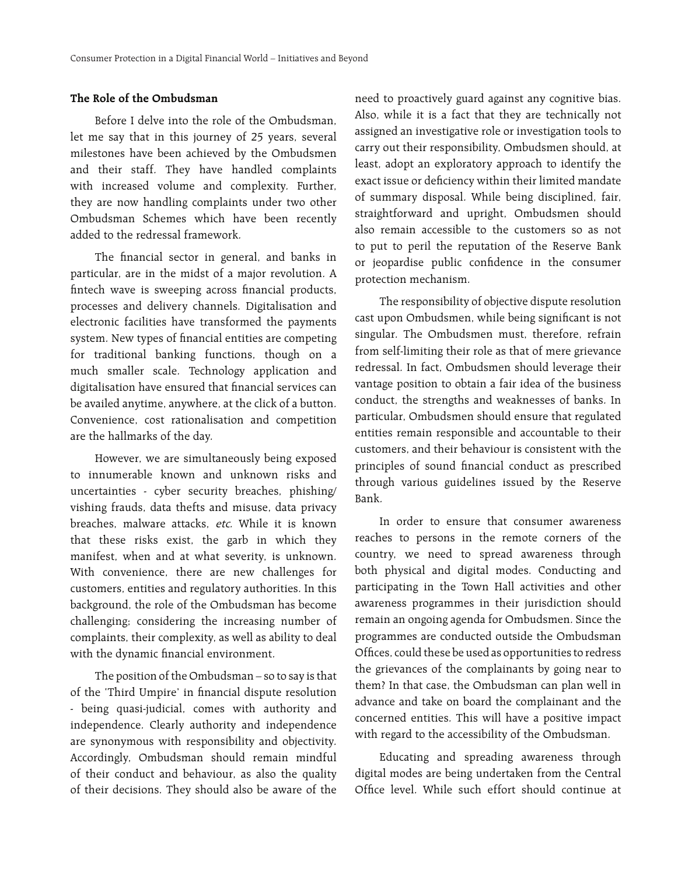#### **The Role of the Ombudsman**

Before I delve into the role of the Ombudsman, let me say that in this journey of 25 years, several milestones have been achieved by the Ombudsmen and their staff. They have handled complaints with increased volume and complexity. Further, they are now handling complaints under two other Ombudsman Schemes which have been recently added to the redressal framework.

The financial sector in general, and banks in particular, are in the midst of a major revolution. A fintech wave is sweeping across financial products, processes and delivery channels. Digitalisation and electronic facilities have transformed the payments system. New types of financial entities are competing for traditional banking functions, though on a much smaller scale. Technology application and digitalisation have ensured that financial services can be availed anytime, anywhere, at the click of a button. Convenience, cost rationalisation and competition are the hallmarks of the day.

However, we are simultaneously being exposed to innumerable known and unknown risks and uncertainties - cyber security breaches, phishing/ vishing frauds, data thefts and misuse, data privacy breaches, malware attacks, etc. While it is known that these risks exist, the garb in which they manifest, when and at what severity, is unknown. With convenience, there are new challenges for customers, entities and regulatory authorities. In this background, the role of the Ombudsman has become challenging; considering the increasing number of complaints, their complexity, as well as ability to deal with the dynamic financial environment.

The position of the Ombudsman – so to say is that of the 'Third Umpire' in financial dispute resolution - being quasi-judicial, comes with authority and independence. Clearly authority and independence are synonymous with responsibility and objectivity. Accordingly, Ombudsman should remain mindful of their conduct and behaviour, as also the quality of their decisions. They should also be aware of the

need to proactively guard against any cognitive bias. Also, while it is a fact that they are technically not assigned an investigative role or investigation tools to carry out their responsibility, Ombudsmen should, at least, adopt an exploratory approach to identify the exact issue or deficiency within their limited mandate of summary disposal. While being disciplined, fair, straightforward and upright, Ombudsmen should also remain accessible to the customers so as not to put to peril the reputation of the Reserve Bank or jeopardise public confidence in the consumer protection mechanism.

The responsibility of objective dispute resolution cast upon Ombudsmen, while being significant is not singular. The Ombudsmen must, therefore, refrain from self-limiting their role as that of mere grievance redressal. In fact, Ombudsmen should leverage their vantage position to obtain a fair idea of the business conduct, the strengths and weaknesses of banks. In particular, Ombudsmen should ensure that regulated entities remain responsible and accountable to their customers, and their behaviour is consistent with the principles of sound financial conduct as prescribed through various guidelines issued by the Reserve Bank.

In order to ensure that consumer awareness reaches to persons in the remote corners of the country, we need to spread awareness through both physical and digital modes. Conducting and participating in the Town Hall activities and other awareness programmes in their jurisdiction should remain an ongoing agenda for Ombudsmen. Since the programmes are conducted outside the Ombudsman Offices, could these be used as opportunities to redress the grievances of the complainants by going near to them? In that case, the Ombudsman can plan well in advance and take on board the complainant and the concerned entities. This will have a positive impact with regard to the accessibility of the Ombudsman.

Educating and spreading awareness through digital modes are being undertaken from the Central Office level. While such effort should continue at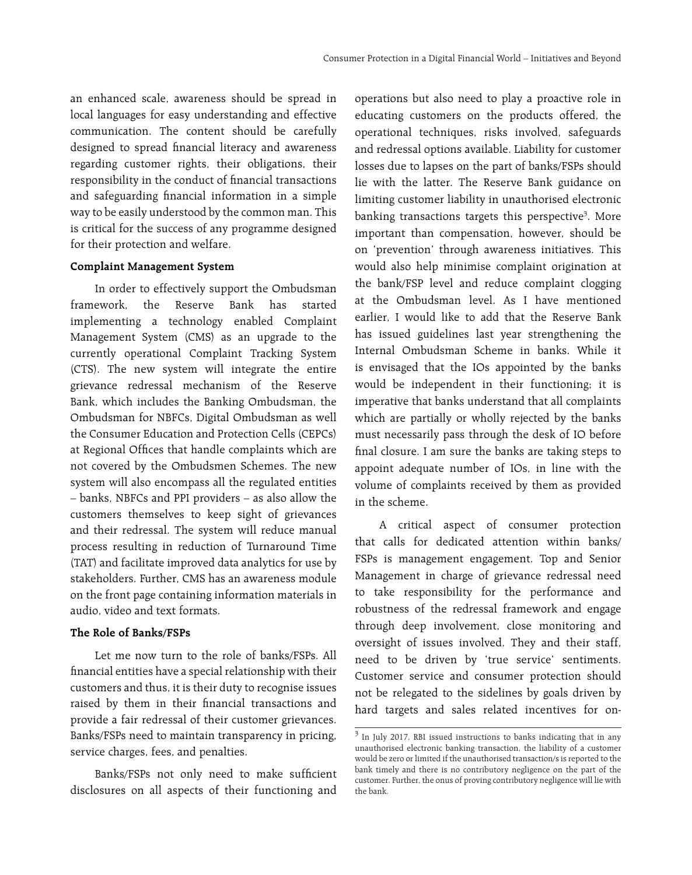an enhanced scale, awareness should be spread in local languages for easy understanding and effective communication. The content should be carefully designed to spread financial literacy and awareness regarding customer rights, their obligations, their responsibility in the conduct of financial transactions and safeguarding financial information in a simple way to be easily understood by the common man. This is critical for the success of any programme designed for their protection and welfare.

#### **Complaint Management System**

In order to effectively support the Ombudsman framework, the Reserve Bank has started implementing a technology enabled Complaint Management System (CMS) as an upgrade to the currently operational Complaint Tracking System (CTS). The new system will integrate the entire grievance redressal mechanism of the Reserve Bank, which includes the Banking Ombudsman, the Ombudsman for NBFCs, Digital Ombudsman as well the Consumer Education and Protection Cells (CEPCs) at Regional Offices that handle complaints which are not covered by the Ombudsmen Schemes. The new system will also encompass all the regulated entities – banks, NBFCs and PPI providers – as also allow the customers themselves to keep sight of grievances and their redressal. The system will reduce manual process resulting in reduction of Turnaround Time (TAT) and facilitate improved data analytics for use by stakeholders. Further, CMS has an awareness module on the front page containing information materials in audio, video and text formats.

#### **The Role of Banks/FSPs**

Let me now turn to the role of banks/FSPs. All financial entities have a special relationship with their customers and thus, it is their duty to recognise issues raised by them in their financial transactions and provide a fair redressal of their customer grievances. Banks/FSPs need to maintain transparency in pricing, service charges, fees, and penalties.

Banks/FSPs not only need to make sufficient disclosures on all aspects of their functioning and

operations but also need to play a proactive role in educating customers on the products offered, the operational techniques, risks involved, safeguards and redressal options available. Liability for customer losses due to lapses on the part of banks/FSPs should lie with the latter. The Reserve Bank guidance on limiting customer liability in unauthorised electronic banking transactions targets this perspective<sup>3</sup>. More important than compensation, however, should be on 'prevention' through awareness initiatives. This would also help minimise complaint origination at the bank/FSP level and reduce complaint clogging at the Ombudsman level. As I have mentioned earlier, I would like to add that the Reserve Bank has issued guidelines last year strengthening the Internal Ombudsman Scheme in banks. While it is envisaged that the IOs appointed by the banks would be independent in their functioning; it is imperative that banks understand that all complaints which are partially or wholly rejected by the banks must necessarily pass through the desk of IO before final closure. I am sure the banks are taking steps to appoint adequate number of IOs, in line with the volume of complaints received by them as provided in the scheme.

A critical aspect of consumer protection that calls for dedicated attention within banks/ FSPs is management engagement. Top and Senior Management in charge of grievance redressal need to take responsibility for the performance and robustness of the redressal framework and engage through deep involvement, close monitoring and oversight of issues involved. They and their staff, need to be driven by 'true service' sentiments. Customer service and consumer protection should not be relegated to the sidelines by goals driven by hard targets and sales related incentives for on-

<sup>&</sup>lt;sup>3</sup> In July 2017, RBI issued instructions to banks indicating that in any unauthorised electronic banking transaction, the liability of a customer would be zero or limited if the unauthorised transaction/s is reported to the bank timely and there is no contributory negligence on the part of the customer. Further, the onus of proving contributory negligence will lie with the bank.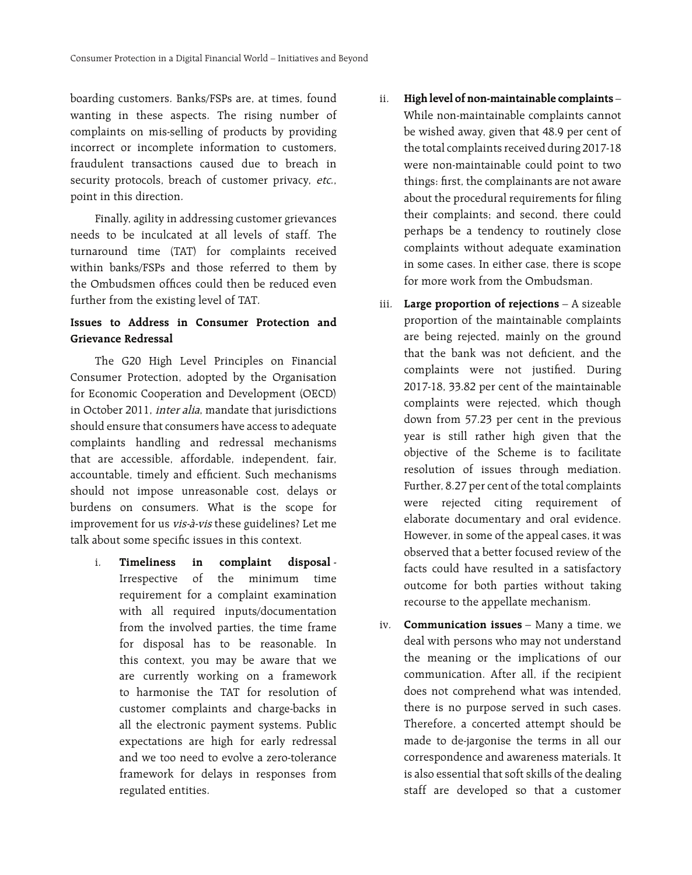boarding customers. Banks/FSPs are, at times, found wanting in these aspects. The rising number of complaints on mis-selling of products by providing incorrect or incomplete information to customers, fraudulent transactions caused due to breach in security protocols, breach of customer privacy, etc., point in this direction.

Finally, agility in addressing customer grievances needs to be inculcated at all levels of staff. The turnaround time (TAT) for complaints received within banks/FSPs and those referred to them by the Ombudsmen offices could then be reduced even further from the existing level of TAT.

### **Issues to address in Consumer Protection and Grievance Redressal**

The G20 High Level Principles on Financial Consumer Protection, adopted by the Organisation for Economic Cooperation and Development (OECD) in October 2011, inter alia, mandate that jurisdictions should ensure that consumers have access to adequate complaints handling and redressal mechanisms that are accessible, affordable, independent, fair, accountable, timely and efficient. Such mechanisms should not impose unreasonable cost, delays or burdens on consumers. What is the scope for improvement for us vis-à-vis these guidelines? Let me talk about some specific issues in this context.

i. **Timeliness in complaint disposal** - Irrespective of the minimum time requirement for a complaint examination with all required inputs/documentation from the involved parties, the time frame for disposal has to be reasonable. In this context, you may be aware that we are currently working on a framework to harmonise the TAT for resolution of customer complaints and charge-backs in all the electronic payment systems. Public expectations are high for early redressal and we too need to evolve a zero-tolerance framework for delays in responses from regulated entities.

- ii. **High level of non-maintainable complaints** While non-maintainable complaints cannot be wished away, given that 48.9 per cent of the total complaints received during 2017-18 were non-maintainable could point to two things: first, the complainants are not aware about the procedural requirements for filing their complaints; and second, there could perhaps be a tendency to routinely close complaints without adequate examination in some cases. In either case, there is scope for more work from the Ombudsman.
- iii. **Large proportion of rejections** A sizeable proportion of the maintainable complaints are being rejected, mainly on the ground that the bank was not deficient, and the complaints were not justified. During 2017-18, 33.82 per cent of the maintainable complaints were rejected, which though down from 57.23 per cent in the previous year is still rather high given that the objective of the Scheme is to facilitate resolution of issues through mediation. Further, 8.27 per cent of the total complaints were rejected citing requirement of elaborate documentary and oral evidence. However, in some of the appeal cases, it was observed that a better focused review of the facts could have resulted in a satisfactory outcome for both parties without taking recourse to the appellate mechanism.
- iv. **Communication issues** Many a time, we deal with persons who may not understand the meaning or the implications of our communication. After all, if the recipient does not comprehend what was intended, there is no purpose served in such cases. Therefore, a concerted attempt should be made to de-jargonise the terms in all our correspondence and awareness materials. It is also essential that soft skills of the dealing staff are developed so that a customer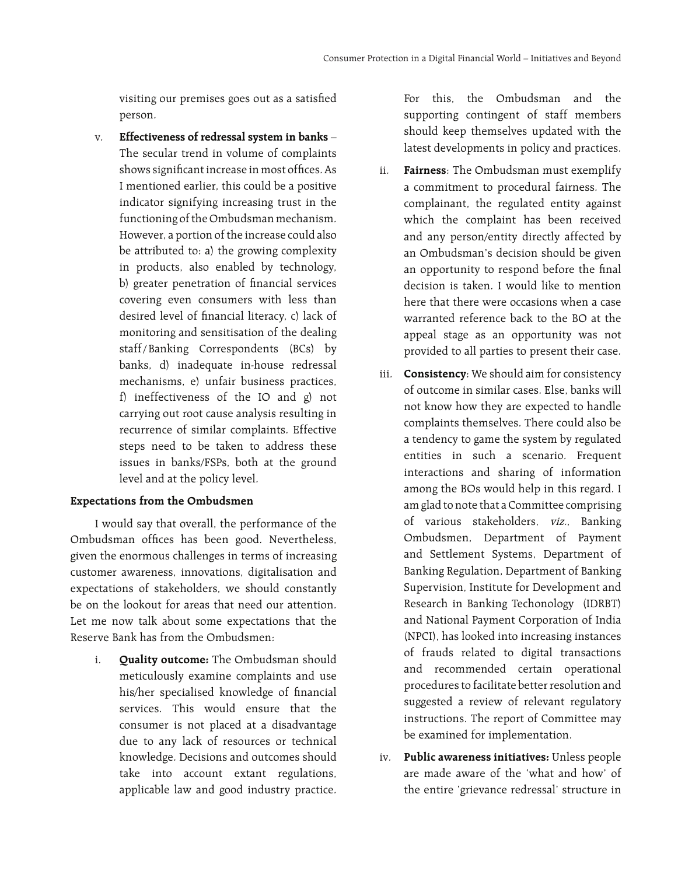visiting our premises goes out as a satisfied person.

v. **Effectiveness of redressal system in banks** – The secular trend in volume of complaints shows significant increase in most offices. As I mentioned earlier, this could be a positive indicator signifying increasing trust in the functioning of the Ombudsman mechanism. However, a portion of the increase could also be attributed to: a) the growing complexity in products, also enabled by technology, b) greater penetration of financial services covering even consumers with less than desired level of financial literacy, c) lack of monitoring and sensitisation of the dealing staff/ Banking Correspondents (BCs) by banks, d) inadequate in-house redressal mechanisms, e) unfair business practices, f) ineffectiveness of the IO and g) not carrying out root cause analysis resulting in recurrence of similar complaints. Effective steps need to be taken to address these issues in banks/FSPs, both at the ground level and at the policy level.

#### **Expectations from the Ombudsmen**

I would say that overall, the performance of the Ombudsman offices has been good. Nevertheless, given the enormous challenges in terms of increasing customer awareness, innovations, digitalisation and expectations of stakeholders, we should constantly be on the lookout for areas that need our attention. Let me now talk about some expectations that the Reserve Bank has from the Ombudsmen:

i. **Quality outcome:** The Ombudsman should meticulously examine complaints and use his/her specialised knowledge of financial services. This would ensure that the consumer is not placed at a disadvantage due to any lack of resources or technical knowledge. Decisions and outcomes should take into account extant regulations, applicable law and good industry practice.

For this, the Ombudsman and the supporting contingent of staff members should keep themselves updated with the latest developments in policy and practices.

- ii. **Fairness**: The Ombudsman must exemplify a commitment to procedural fairness. The complainant, the regulated entity against which the complaint has been received and any person/entity directly affected by an Ombudsman's decision should be given an opportunity to respond before the final decision is taken. I would like to mention here that there were occasions when a case warranted reference back to the BO at the appeal stage as an opportunity was not provided to all parties to present their case.
- iii. **Consistency**: We should aim for consistency of outcome in similar cases. Else, banks will not know how they are expected to handle complaints themselves. There could also be a tendency to game the system by regulated entities in such a scenario. Frequent interactions and sharing of information among the BOs would help in this regard. I am glad to note that a Committee comprising of various stakeholders, viz., Banking Ombudsmen, Department of Payment and Settlement Systems, Department of Banking Regulation, Department of Banking Supervision, Institute for Development and Research in Banking Techonology (IDRBT) and National Payment Corporation of India (NPCI), has looked into increasing instances of frauds related to digital transactions and recommended certain operational procedures to facilitate better resolution and suggested a review of relevant regulatory instructions. The report of Committee may be examined for implementation.
- iv. **Public awareness initiatives:** Unless people are made aware of the 'what and how' of the entire 'grievance redressal' structure in